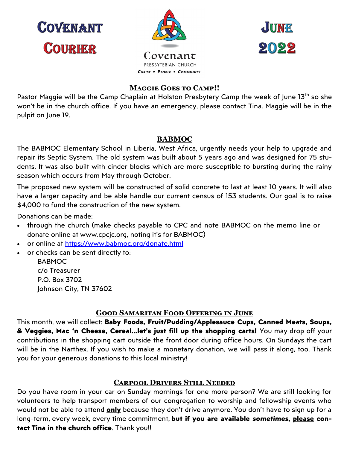**COVENANT COURIER** 





## **Maggie Goes to Camp!!**

Pastor Maggie will be the Camp Chaplain at Holston Presbytery Camp the week of June 13<sup>th</sup> so she won't be in the church office. If you have an emergency, please contact Tina. Maggie will be in the pulpit on June 19.

### **BABMOC**

The BABMOC Elementary School in Liberia, West Africa, urgently needs your help to upgrade and repair its Septic System. The old system was built about 5 years ago and was designed for 75 students. It was also built with cinder blocks which are more susceptible to bursting during the rainy season which occurs from May through October.

The proposed new system will be constructed of solid concrete to last at least 10 years. It will also have a larger capacity and be able handle our current census of 153 students. Our goal is to raise \$4,000 to fund the construction of the new system.

Donations can be made:

- through the church (make checks payable to CPC and note BABMOC on the memo line or donate online at www.cpcjc.org, noting it's for BABMOC)
- or online at [https://www.babmoc.org/donate.html](https://isaacsdream.us11.list-manage.com/track/click?u=afd1478a18628dc1af432f94d&id=f104f50430&e=08797c7a32)
- or checks can be sent directly to:

BABMOC c/o Treasurer P.O. Box 3702 Johnson City, TN 37602

## **Good Samaritan Food Offering in June**

This month, we will collect: **Baby Foods, Fruit/Pudding/Applesauce Cups, Canned Meats, Soups, & Veggies, Mac 'n Cheese, Cereal...let's just fill up the shopping carts!** You may drop off your contributions in the shopping cart outside the front door during office hours. On Sundays the cart will be in the Narthex. If you wish to make a monetary donation, we will pass it along, too. Thank you for your generous donations to this local ministry!

## **Carpool Drivers Still Needed**

Do you have room in your car on Sunday mornings for one more person? We are still looking for volunteers to help transport members of our congregation to worship and fellowship events who would not be able to attend **only** because they don't drive anymore. You don't have to sign up for a long-term, every week, every time commitment, **but if you are available** *sometimes***, please contact Tina in the church office**. Thank you!!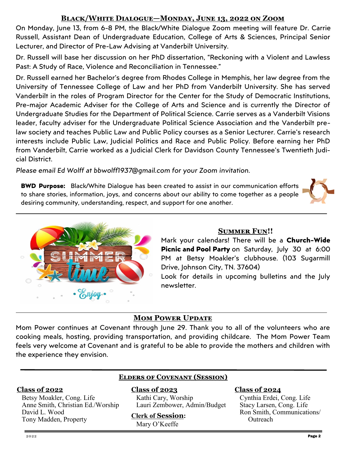# **Black/White Dialogue—Monday, June 13, 2022 on Zoom**

On Monday, June 13, from 6-8 PM, the Black/White Dialogue Zoom meeting will feature Dr. Carrie Russell, Assistant Dean of Undergraduate Education, College of Arts & Sciences, Principal Senior Lecturer, and Director of Pre-Law Advising at Vanderbilt University.

Dr. Russell will base her discussion on her PhD dissertation, "Reckoning with a Violent and Lawless Past: A Study of Race, Violence and Reconciliation in Tennessee."

Dr. Russell earned her Bachelor's degree from Rhodes College in Memphis, her law degree from the University of Tennessee College of Law and her PhD from Vanderbilt University. She has served Vanderbilt in the roles of Program Director for the Center for the Study of Democratic Institutions, Pre-major Academic Adviser for the College of Arts and Science and is currently the Director of Undergraduate Studies for the Department of Political Science. Carrie serves as a Vanderbilt Visions leader, faculty adviser for the Undergraduate Political Science Association and the Vanderbilt prelaw society and teaches Public Law and Public Policy courses as a Senior Lecturer. Carrie's research interests include Public Law, Judicial Politics and Race and Public Policy. Before earning her PhD from Vanderbilt, Carrie worked as a Judicial Clerk for Davidson County Tennessee's Twentieth Judicial District.

*Please email Ed Wolff at bbwolff1937@gmail.com for your Zoom invitation.*

**BWD Purpose:** Black/White Dialogue has been created to assist in our communication efforts to share stories, information, joys, and concerns about our ability to come together as a people desiring community, understanding, respect, and support for one another.





## **Summer Fun!!**

Mark your calendars! There will be a **Church-Wide Picnic and Pool Party** on Saturday, July 30 at 6:00 PM at Betsy Moakler's clubhouse. (103 Sugarmill Drive, Johnson City, TN. 37604)

Look for details in upcoming bulletins and the July newsletter.

# **MOM POWER UPDATE**

Mom Power continues at Covenant through June 29. Thank you to all of the volunteers who are cooking meals, hosting, providing transportation, and providing childcare. The Mom Power Team feels very welcome at Covenant and is grateful to be able to provide the mothers and children with the experience they envision.

#### **Class of 2022**

Betsy Moakler, Cong. Life Anne Smith, Christian Ed./Worship David L. Wood Tony Madden, Property

# **Elders of Covenant (Session)**

**Class of 2023** Kathi Cary, Worship Lauri Zembower, Admin/Budget

#### **Clerk of Session:**

Mary O'Keeffe

#### **Class of 2024**

Cynthia Erdei, Cong. Life Stacy Larsen, Cong. Life Ron Smith, Communications/ **Outreach**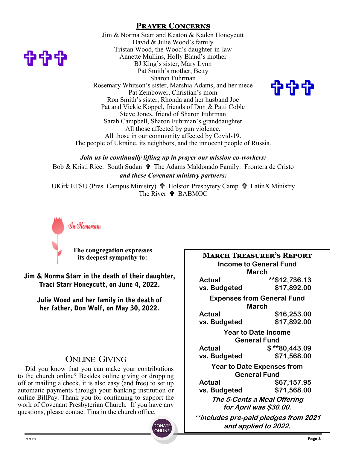## **Prayer Concerns**

Jim & Norma Starr and Keaton & Kaden Honeycutt David & Julie Wood's family Tristan Wood, the Wood's daughter-in-law Annette Mullins, Holly Bland's mother BJ King's sister, Mary Lynn Pat Smith's mother, Betty Sharon Fuhrman Rosemary Whitson's sister, Marshia Adams, and her niece Pat Zembower, Christian's mom Ron Smith's sister, Rhonda and her husband Joe Pat and Vickie Koppel, friends of Don & Patti Coble Steve Jones, friend of Sharon Fuhrman Sarah Campbell, Sharon Fuhrman's granddaughter All those affected by gun violence. All those in our community affected by Covid-19. The people of Ukraine, its neighbors, and the innocent people of Russia.



*Join us in continually lifting up in prayer our mission co-workers:* Bob & Kristi Rice: South Sudan  $\mathbf{\hat{\tau}}$  The Adams Maldonado Family: Frontera de Cristo *and these Covenant ministry partners:*

UKirk ETSU (Pres. Campus Ministry)  $\mathbf{\hat{\Psi}}$  Holston Presbytery Camp  $\mathbf{\hat{\Psi}}$  LatinX Ministry The River **† BABMOC** 

> **DONATE** ONLINE



898

**The congregation expresses its deepest sympathy to:**

Jim & Norma Starr in the death of their daughter, Traci Starr Honeycutt, on June 4, 2022.

Julie Wood and her family in the death of her father, Don Wolf, on May 30, 2022.

## **ONLINE GIVING**

Did you know that you can make your contributions to the church online? Besides online giving or dropping off or mailing a check, it is also easy (and free) to set up automatic payments through your banking institution or online BillPay. Thank you for continuing to support the work of Covenant Presbyterian Church. If you have any questions, please contact Tina in the church office.

**March Treasurer's Report Income to General Fund March Actual \*\*\$12,736.13 vs. Budgeted \$17,892.00 Expenses from General Fund March Actual \$16,253.00 vs. Budgeted \$17,892.00 Year to Date Income General Fund Actual \$ \*\*80,443.09 vs. Budgeted \$71,568.00 Year to Date Expenses from General Fund Actual \$67,157.95 vs. Budgeted \$71,568.00 The 5-Cents a Meal Offering for April was \$30.00. \*\*includes pre-paid pledges from 2021 and applied to 2022.**